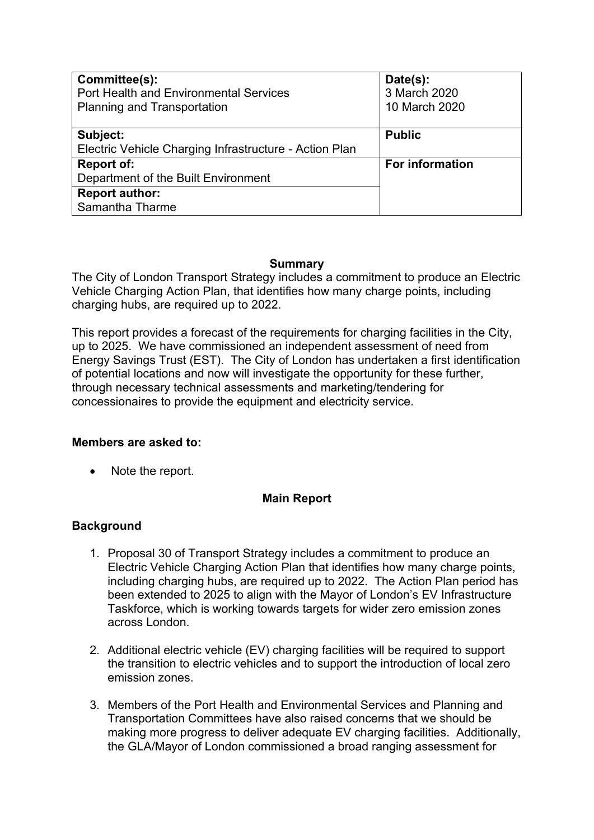| Committee(s):<br><b>Port Health and Environmental Services</b><br><b>Planning and Transportation</b> | Date(s):<br>3 March 2020<br>10 March 2020 |
|------------------------------------------------------------------------------------------------------|-------------------------------------------|
| Subject:                                                                                             | <b>Public</b>                             |
| Electric Vehicle Charging Infrastructure - Action Plan                                               |                                           |
| <b>Report of:</b>                                                                                    | <b>For information</b>                    |
| Department of the Built Environment                                                                  |                                           |
| <b>Report author:</b>                                                                                |                                           |
| Samantha Tharme                                                                                      |                                           |

### **Summary**

The City of London Transport Strategy includes a commitment to produce an Electric Vehicle Charging Action Plan, that identifies how many charge points, including charging hubs, are required up to 2022.

This report provides a forecast of the requirements for charging facilities in the City, up to 2025. We have commissioned an independent assessment of need from Energy Savings Trust (EST). The City of London has undertaken a first identification of potential locations and now will investigate the opportunity for these further, through necessary technical assessments and marketing/tendering for concessionaires to provide the equipment and electricity service.

## **Members are asked to:**

• Note the report.

## **Main Report**

## **Background**

- 1. Proposal 30 of Transport Strategy includes a commitment to produce an Electric Vehicle Charging Action Plan that identifies how many charge points, including charging hubs, are required up to 2022. The Action Plan period has been extended to 2025 to align with the Mayor of London's EV Infrastructure Taskforce, which is working towards targets for wider zero emission zones across London.
- 2. Additional electric vehicle (EV) charging facilities will be required to support the transition to electric vehicles and to support the introduction of local zero emission zones.
- 3. Members of the Port Health and Environmental Services and Planning and Transportation Committees have also raised concerns that we should be making more progress to deliver adequate EV charging facilities. Additionally, the GLA/Mayor of London commissioned a broad ranging assessment for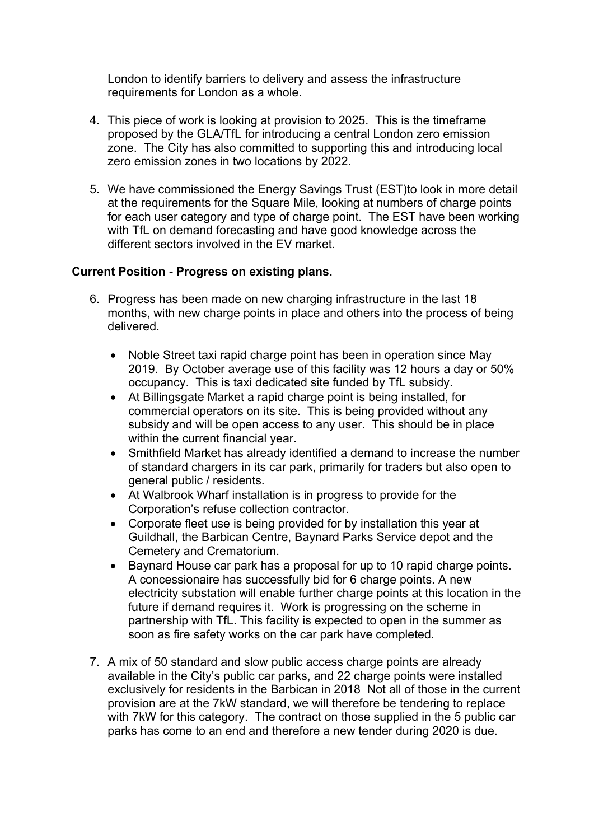London to identify barriers to delivery and assess the infrastructure requirements for London as a whole.

- 4. This piece of work is looking at provision to 2025. This is the timeframe proposed by the GLA/TfL for introducing a central London zero emission zone. The City has also committed to supporting this and introducing local zero emission zones in two locations by 2022.
- 5. We have commissioned the Energy Savings Trust (EST)to look in more detail at the requirements for the Square Mile, looking at numbers of charge points for each user category and type of charge point. The EST have been working with TfL on demand forecasting and have good knowledge across the different sectors involved in the EV market.

#### **Current Position - Progress on existing plans.**

- 6. Progress has been made on new charging infrastructure in the last 18 months, with new charge points in place and others into the process of being delivered.
	- Noble Street taxi rapid charge point has been in operation since May 2019. By October average use of this facility was 12 hours a day or 50% occupancy. This is taxi dedicated site funded by TfL subsidy.
	- At Billingsgate Market a rapid charge point is being installed, for commercial operators on its site. This is being provided without any subsidy and will be open access to any user. This should be in place within the current financial year.
	- Smithfield Market has already identified a demand to increase the number of standard chargers in its car park, primarily for traders but also open to general public / residents.
	- At Walbrook Wharf installation is in progress to provide for the Corporation's refuse collection contractor.
	- Corporate fleet use is being provided for by installation this year at Guildhall, the Barbican Centre, Baynard Parks Service depot and the Cemetery and Crematorium.
	- Baynard House car park has a proposal for up to 10 rapid charge points. A concessionaire has successfully bid for 6 charge points. A new electricity substation will enable further charge points at this location in the future if demand requires it. Work is progressing on the scheme in partnership with TfL. This facility is expected to open in the summer as soon as fire safety works on the car park have completed.
- 7. A mix of 50 standard and slow public access charge points are already available in the City's public car parks, and 22 charge points were installed exclusively for residents in the Barbican in 2018 Not all of those in the current provision are at the 7kW standard, we will therefore be tendering to replace with 7kW for this category. The contract on those supplied in the 5 public car parks has come to an end and therefore a new tender during 2020 is due.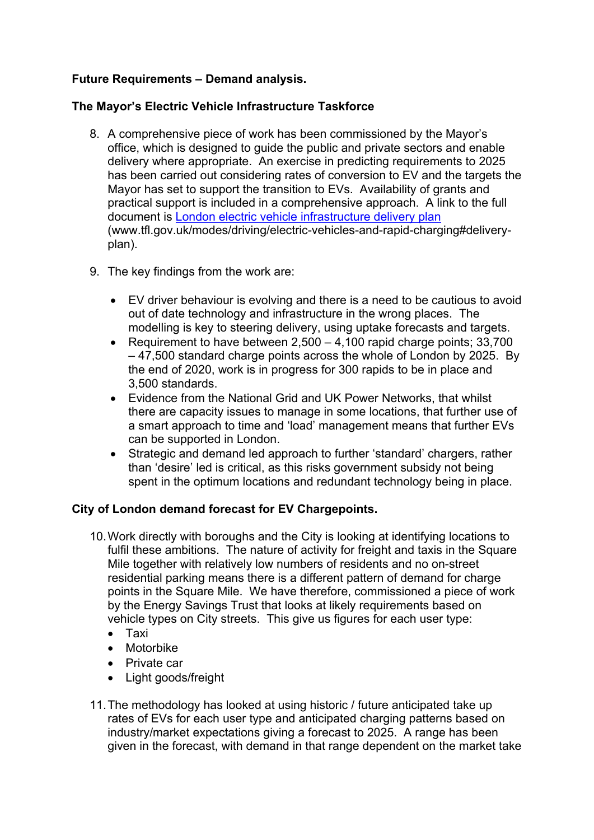# **Future Requirements – Demand analysis.**

### **The Mayor's Electric Vehicle Infrastructure Taskforce**

- 8. A comprehensive piece of work has been commissioned by the Mayor's office, which is designed to guide the public and private sectors and enable delivery where appropriate. An exercise in predicting requirements to 2025 has been carried out considering rates of conversion to EV and the targets the Mayor has set to support the transition to EVs. Availability of grants and practical support is included in a comprehensive approach. A link to the full document is London electric vehicle [infrastructure](https://tfl.gov.uk/modes/driving/electric-vehicles-and-rapid-charging#delivery-plan) delivery plan (www.tfl.gov.uk/modes/driving/electric-vehicles-and-rapid-charging#deliveryplan).
- 9. The key findings from the work are:
	- EV driver behaviour is evolving and there is a need to be cautious to avoid out of date technology and infrastructure in the wrong places. The modelling is key to steering delivery, using uptake forecasts and targets.
	- Requirement to have between  $2,500 4,100$  rapid charge points; 33,700 – 47,500 standard charge points across the whole of London by 2025. By the end of 2020, work is in progress for 300 rapids to be in place and 3,500 standards.
	- Evidence from the National Grid and UK Power Networks, that whilst there are capacity issues to manage in some locations, that further use of a smart approach to time and 'load' management means that further EVs can be supported in London.
	- Strategic and demand led approach to further 'standard' chargers, rather than 'desire' led is critical, as this risks government subsidy not being spent in the optimum locations and redundant technology being in place.

## **City of London demand forecast for EV Chargepoints.**

- 10.Work directly with boroughs and the City is looking at identifying locations to fulfil these ambitions. The nature of activity for freight and taxis in the Square Mile together with relatively low numbers of residents and no on-street residential parking means there is a different pattern of demand for charge points in the Square Mile. We have therefore, commissioned a piece of work by the Energy Savings Trust that looks at likely requirements based on vehicle types on City streets. This give us figures for each user type:
	- Taxi
	- Motorbike
	- Private car
	- Light goods/freight
- 11.The methodology has looked at using historic / future anticipated take up rates of EVs for each user type and anticipated charging patterns based on industry/market expectations giving a forecast to 2025. A range has been given in the forecast, with demand in that range dependent on the market take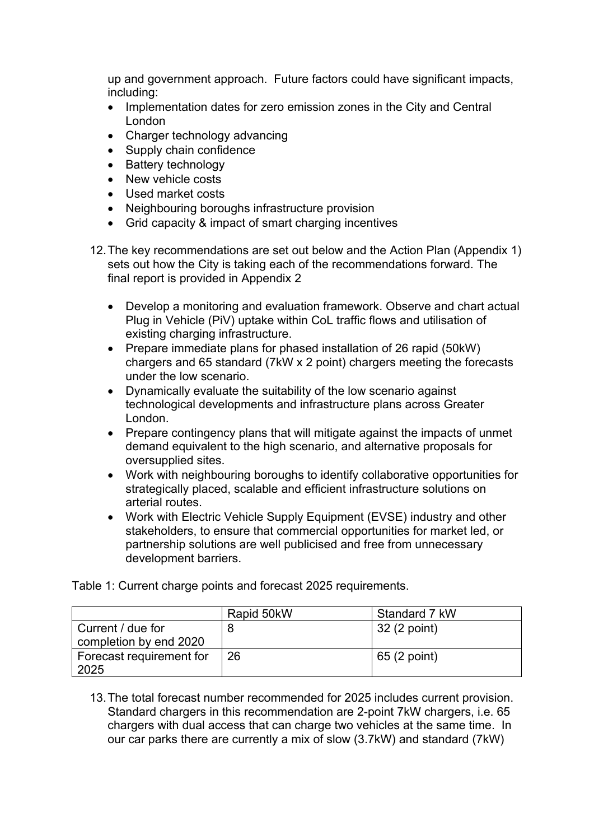up and government approach. Future factors could have significant impacts, including:

- Implementation dates for zero emission zones in the City and Central London
- Charger technology advancing
- Supply chain confidence
- Battery technology
- New vehicle costs
- Used market costs
- Neighbouring boroughs infrastructure provision
- Grid capacity & impact of smart charging incentives
- 12.The key recommendations are set out below and the Action Plan (Appendix 1) sets out how the City is taking each of the recommendations forward. The final report is provided in Appendix 2
	- Develop a monitoring and evaluation framework. Observe and chart actual Plug in Vehicle (PiV) uptake within CoL traffic flows and utilisation of existing charging infrastructure.
	- Prepare immediate plans for phased installation of 26 rapid (50kW) chargers and 65 standard (7kW x 2 point) chargers meeting the forecasts under the low scenario.
	- Dynamically evaluate the suitability of the low scenario against technological developments and infrastructure plans across Greater London.
	- Prepare contingency plans that will mitigate against the impacts of unmet demand equivalent to the high scenario, and alternative proposals for oversupplied sites.
	- Work with neighbouring boroughs to identify collaborative opportunities for strategically placed, scalable and efficient infrastructure solutions on arterial routes.
	- Work with Electric Vehicle Supply Equipment (EVSE) industry and other stakeholders, to ensure that commercial opportunities for market led, or partnership solutions are well publicised and free from unnecessary development barriers.

|                                             | Rapid 50kW | Standard 7 kW |
|---------------------------------------------|------------|---------------|
| Current / due for<br>completion by end 2020 |            | 32 (2 point)  |
| Forecast requirement for<br>2025            | 26         | 65 (2 point)  |

Table 1: Current charge points and forecast 2025 requirements.

13.The total forecast number recommended for 2025 includes current provision. Standard chargers in this recommendation are 2-point 7kW chargers, i.e. 65 chargers with dual access that can charge two vehicles at the same time. In our car parks there are currently a mix of slow (3.7kW) and standard (7kW)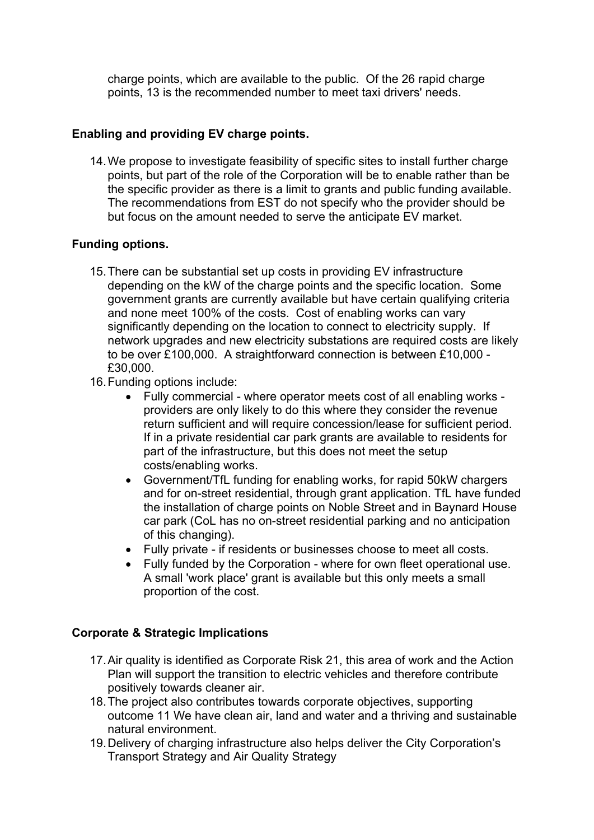charge points, which are available to the public. Of the 26 rapid charge points, 13 is the recommended number to meet taxi drivers' needs.

### **Enabling and providing EV charge points.**

14.We propose to investigate feasibility of specific sites to install further charge points, but part of the role of the Corporation will be to enable rather than be the specific provider as there is a limit to grants and public funding available. The recommendations from EST do not specify who the provider should be but focus on the amount needed to serve the anticipate EV market.

### **Funding options.**

- 15.There can be substantial set up costs in providing EV infrastructure depending on the kW of the charge points and the specific location. Some government grants are currently available but have certain qualifying criteria and none meet 100% of the costs. Cost of enabling works can vary significantly depending on the location to connect to electricity supply. If network upgrades and new electricity substations are required costs are likely to be over £100,000. A straightforward connection is between £10,000 - £30,000.
- 16.Funding options include:
	- Fully commercial where operator meets cost of all enabling works providers are only likely to do this where they consider the revenue return sufficient and will require concession/lease for sufficient period. If in a private residential car park grants are available to residents for part of the infrastructure, but this does not meet the setup costs/enabling works.
	- Government/TfL funding for enabling works, for rapid 50kW chargers and for on-street residential, through grant application. TfL have funded the installation of charge points on Noble Street and in Baynard House car park (CoL has no on-street residential parking and no anticipation of this changing).
	- Fully private if residents or businesses choose to meet all costs.
	- Fully funded by the Corporation where for own fleet operational use. A small 'work place' grant is available but this only meets a small proportion of the cost.

#### **Corporate & Strategic Implications**

- 17.Air quality is identified as Corporate Risk 21, this area of work and the Action Plan will support the transition to electric vehicles and therefore contribute positively towards cleaner air.
- 18.The project also contributes towards corporate objectives, supporting outcome 11 We have clean air, land and water and a thriving and sustainable natural environment.
- 19.Delivery of charging infrastructure also helps deliver the City Corporation's Transport Strategy and Air Quality Strategy